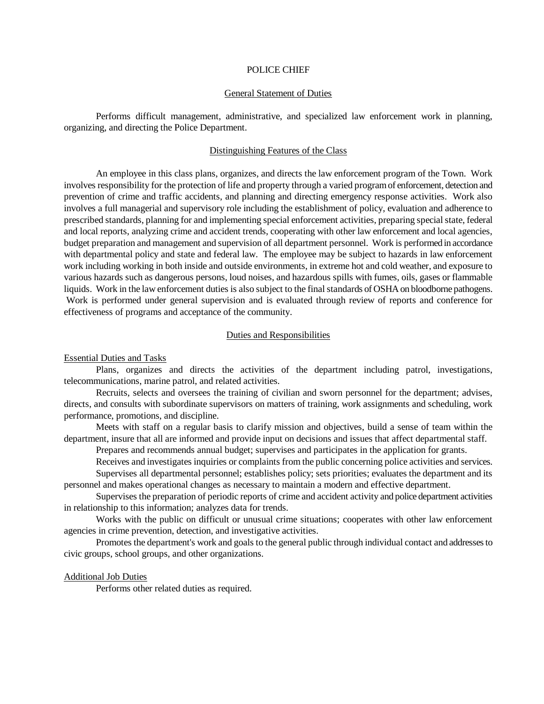### POLICE CHIEF

# General Statement of Duties

Performs difficult management, administrative, and specialized law enforcement work in planning, organizing, and directing the Police Department.

# Distinguishing Features of the Class

An employee in this class plans, organizes, and directs the law enforcement program of the Town. Work involves responsibility for the protection of life and property through a varied program of enforcement, detection and prevention of crime and traffic accidents, and planning and directing emergency response activities. Work also involves a full managerial and supervisory role including the establishment of policy, evaluation and adherence to prescribed standards, planning for and implementing special enforcement activities, preparing special state, federal and local reports, analyzing crime and accident trends, cooperating with other law enforcement and local agencies, budget preparation and management and supervision of all department personnel. Work is performed in accordance with departmental policy and state and federal law. The employee may be subject to hazards in law enforcement work including working in both inside and outside environments, in extreme hot and cold weather, and exposure to various hazards such as dangerous persons, loud noises, and hazardous spills with fumes, oils, gases or flammable liquids. Work in the law enforcement duties is also subject to the final standards of OSHA on bloodborne pathogens. Work is performed under general supervision and is evaluated through review of reports and conference for effectiveness of programs and acceptance of the community.

## Duties and Responsibilities

### Essential Duties and Tasks

Plans, organizes and directs the activities of the department including patrol, investigations, telecommunications, marine patrol, and related activities.

Recruits, selects and oversees the training of civilian and sworn personnel for the department; advises, directs, and consults with subordinate supervisors on matters of training, work assignments and scheduling, work performance, promotions, and discipline.

Meets with staff on a regular basis to clarify mission and objectives, build a sense of team within the department, insure that all are informed and provide input on decisions and issues that affect departmental staff.

Prepares and recommends annual budget; supervises and participates in the application for grants.

Receives and investigates inquiries or complaints from the public concerning police activities and services.

Supervises all departmental personnel; establishes policy; sets priorities; evaluates the department and its personnel and makes operational changes as necessary to maintain a modern and effective department.

Supervises the preparation of periodic reports of crime and accident activity and police department activities in relationship to this information; analyzes data for trends.

Works with the public on difficult or unusual crime situations; cooperates with other law enforcement agencies in crime prevention, detection, and investigative activities.

Promotes the department's work and goals to the general public through individual contact and addresses to civic groups, school groups, and other organizations.

## Additional Job Duties

Performs other related duties as required.